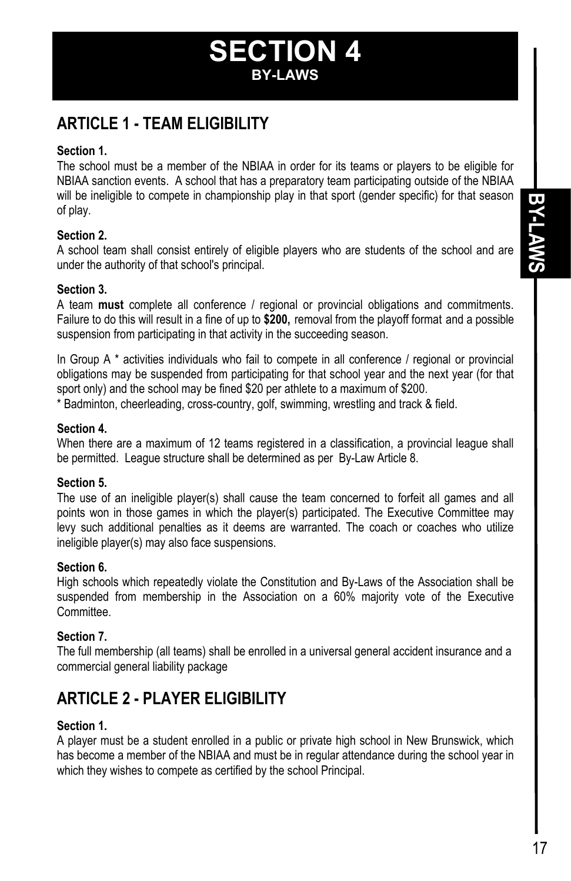# **SECTION 4 BY-LAWS**

# **ARTICLE 1 - TEAM ELIGIBILITY**

#### **Section 1.**

The school must be a member of the NBIAA in order for its teams or players to be eligible for NBIAA sanction events. A school that has a preparatory team participating outside of the NBIAA will be ineligible to compete in championship play in that sport (gender specific) for that season of play.

#### **Section 2.**

A school team shall consist entirely of eligible players who are students of the school and are under the authority of that school's principal.

#### **Section 3.**

A team **must** complete all conference / regional or provincial obligations and commitments. Failure to do this will result in a fine of up to **\$200,** removal from the playoff format and a possible suspension from participating in that activity in the succeeding season.

In Group A<sup>\*</sup> activities individuals who fail to compete in all conference / regional or provincial obligations may be suspended from participating for that school year and the next year (for that sport only) and the school may be fined \$20 per athlete to a maximum of \$200.

\* Badminton, cheerleading, cross-country, golf, swimming, wrestling and track & field.

#### **Section 4.**

When there are a maximum of 12 teams registered in a classification, a provincial league shall be permitted. League structure shall be determined as per By-Law Article 8.

## **Section 5.**

The use of an ineligible player(s) shall cause the team concerned to forfeit all games and all points won in those games in which the player(s) participated. The Executive Committee may levy such additional penalties as it deems are warranted. The coach or coaches who utilize ineligible player(s) may also face suspensions.

#### **Section 6.**

High schools which repeatedly violate the Constitution and By-Laws of the Association shall be suspended from membership in the Association on a 60% majority vote of the Executive Committee.

## **Section 7.**

The full membership (all teams) shall be enrolled in a universal general accident insurance and a commercial general liability package

# **ARTICLE 2 - PLAYER ELIGIBILITY**

## **Section 1.**

A player must be a student enrolled in a public or private high school in New Brunswick, which has become a member of the NBIAA and must be in regular attendance during the school year in which they wishes to compete as certified by the school Principal.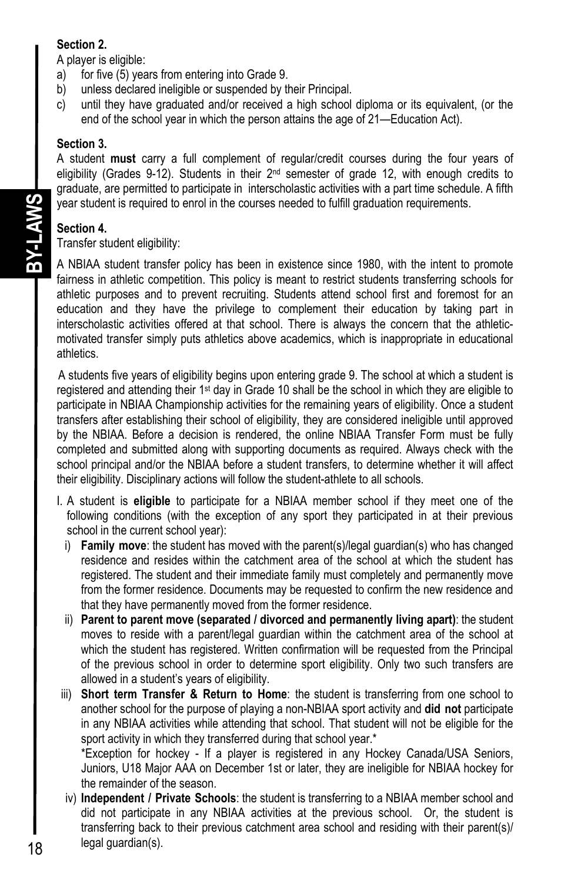### **Section 2.**

A player is eligible:

- a) for five (5) years from entering into Grade 9.
- b) unless declared ineligible or suspended by their Principal.
- c) until they have graduated and/or received a high school diploma or its equivalent, (or the end of the school year in which the person attains the age of 21—Education Act).

#### **Section 3.**

A student **must** carry a full complement of regular/credit courses during the four years of eligibility (Grades 9-12). Students in their 2<sup>nd</sup> semester of grade 12, with enough credits to graduate, are permitted to participate in interscholastic activities with a part time schedule. A fifth year student is required to enrol in the courses needed to fulfill graduation requirements.

## **Section 4.**

Transfer student eligibility:

A NBIAA student transfer policy has been in existence since 1980, with the intent to promote fairness in athletic competition. This policy is meant to restrict students transferring schools for athletic purposes and to prevent recruiting. Students attend school first and foremost for an education and they have the privilege to complement their education by taking part in interscholastic activities offered at that school. There is always the concern that the athleticmotivated transfer simply puts athletics above academics, which is inappropriate in educational athletics.

A students five years of eligibility begins upon entering grade 9. The school at which a student is registered and attending their 1st day in Grade 10 shall be the school in which they are eligible to participate in NBIAA Championship activities for the remaining years of eligibility. Once a student transfers after establishing their school of eligibility, they are considered ineligible until approved by the NBIAA. Before a decision is rendered, the online NBIAA Transfer Form must be fully completed and submitted along with supporting documents as required. Always check with the school principal and/or the NBIAA before a student transfers, to determine whether it will affect their eligibility. Disciplinary actions will follow the student-athlete to all schools.

- I. A student is **eligible** to participate for a NBIAA member school if they meet one of the following conditions (with the exception of any sport they participated in at their previous school in the current school year):
	- i) **Family move**: the student has moved with the parent(s)/legal guardian(s) who has changed residence and resides within the catchment area of the school at which the student has registered. The student and their immediate family must completely and permanently move from the former residence. Documents may be requested to confirm the new residence and that they have permanently moved from the former residence.
	- ii) **Parent to parent move (separated / divorced and permanently living apart)**: the student moves to reside with a parent/legal guardian within the catchment area of the school at which the student has registered. Written confirmation will be requested from the Principal of the previous school in order to determine sport eligibility. Only two such transfers are allowed in a student's years of eligibility.
- iii) **Short term Transfer & Return to Home**: the student is transferring from one school to another school for the purpose of playing a non-NBIAA sport activity and **did not** participate in any NBIAA activities while attending that school. That student will not be eligible for the sport activity in which they transferred during that school year.<sup>\*</sup>

 \*Exception for hockey - If a player is registered in any Hockey Canada/USA Seniors, Juniors, U18 Major AAA on December 1st or later, they are ineligible for NBIAA hockey for the remainder of the season.

iv) **Independent / Private Schools**: the student is transferring to a NBIAA member school and did not participate in any NBIAA activities at the previous school. Or, the student is transferring back to their previous catchment area school and residing with their parent(s)/ legal guardian(s).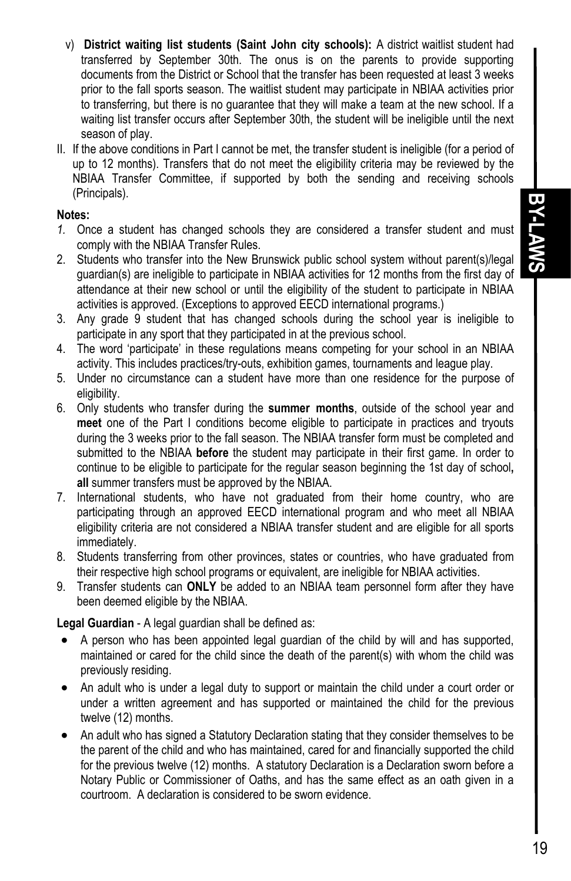- v) **District waiting list students (Saint John city schools):** A district waitlist student had transferred by September 30th. The onus is on the parents to provide supporting documents from the District or School that the transfer has been requested at least 3 weeks prior to the fall sports season. The waitlist student may participate in NBIAA activities prior to transferring, but there is no guarantee that they will make a team at the new school. If a waiting list transfer occurs after September 30th, the student will be ineligible until the next season of play.
- II. If the above conditions in Part I cannot be met, the transfer student is ineligible (for a period of up to 12 months). Transfers that do not meet the eligibility criteria may be reviewed by the NBIAA Transfer Committee, if supported by both the sending and receiving schools (Principals).

#### **Notes:**

- *1.* Once a student has changed schools they are considered a transfer student and must comply with the NBIAA Transfer Rules.
- 2. Students who transfer into the New Brunswick public school system without parent(s)/legal guardian(s) are ineligible to participate in NBIAA activities for 12 months from the first day of attendance at their new school or until the eligibility of the student to participate in NBIAA activities is approved. (Exceptions to approved EECD international programs.)
- 3. Any grade 9 student that has changed schools during the school year is ineligible to participate in any sport that they participated in at the previous school.
- 4. The word 'participate' in these regulations means competing for your school in an NBIAA activity. This includes practices/try-outs, exhibition games, tournaments and league play.
- 5. Under no circumstance can a student have more than one residence for the purpose of eligibility.
- 6. Only students who transfer during the **summer months**, outside of the school year and **meet** one of the Part I conditions become eligible to participate in practices and tryouts during the 3 weeks prior to the fall season. The NBIAA transfer form must be completed and submitted to the NBIAA **before** the student may participate in their first game. In order to continue to be eligible to participate for the regular season beginning the 1st day of school**, all** summer transfers must be approved by the NBIAA.
- 7. International students, who have not graduated from their home country, who are participating through an approved EECD international program and who meet all NBIAA eligibility criteria are not considered a NBIAA transfer student and are eligible for all sports immediately.
- 8. Students transferring from other provinces, states or countries, who have graduated from their respective high school programs or equivalent, are ineligible for NBIAA activities.
- 9. Transfer students can **ONLY** be added to an NBIAA team personnel form after they have been deemed eligible by the NBIAA.

**Legal Guardian** - A legal guardian shall be defined as:

- A person who has been appointed legal guardian of the child by will and has supported, maintained or cared for the child since the death of the parent(s) with whom the child was previously residing.
- An adult who is under a legal duty to support or maintain the child under a court order or under a written agreement and has supported or maintained the child for the previous twelve (12) months.
- An adult who has signed a Statutory Declaration stating that they consider themselves to be the parent of the child and who has maintained, cared for and financially supported the child for the previous twelve (12) months. A statutory Declaration is a Declaration sworn before a Notary Public or Commissioner of Oaths, and has the same effect as an oath given in a courtroom. A declaration is considered to be sworn evidence.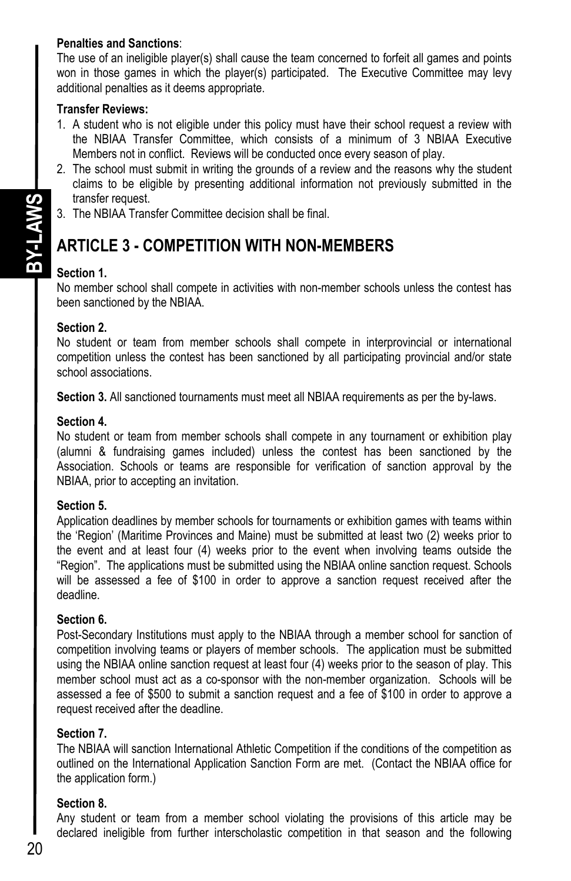#### **Penalties and Sanctions**:

The use of an ineligible player(s) shall cause the team concerned to forfeit all games and points won in those games in which the player(s) participated. The Executive Committee may levy additional penalties as it deems appropriate.

#### **Transfer Reviews:**

- 1. A student who is not eligible under this policy must have their school request a review with the NBIAA Transfer Committee, which consists of a minimum of 3 NBIAA Executive Members not in conflict. Reviews will be conducted once every season of play.
- 2. The school must submit in writing the grounds of a review and the reasons why the student claims to be eligible by presenting additional information not previously submitted in the transfer request.
- 3. The NBIAA Transfer Committee decision shall be final.

## **ARTICLE 3 - COMPETITION WITH NON-MEMBERS**

### **Section 1.**

No member school shall compete in activities with non-member schools unless the contest has been sanctioned by the NBIAA.

#### **Section 2.**

No student or team from member schools shall compete in interprovincial or international competition unless the contest has been sanctioned by all participating provincial and/or state school associations.

**Section 3.** All sanctioned tournaments must meet all NBIAA requirements as per the by-laws.

#### **Section 4.**

No student or team from member schools shall compete in any tournament or exhibition play (alumni & fundraising games included) unless the contest has been sanctioned by the Association. Schools or teams are responsible for verification of sanction approval by the NBIAA, prior to accepting an invitation.

#### **Section 5.**

Application deadlines by member schools for tournaments or exhibition games with teams within the 'Region' (Maritime Provinces and Maine) must be submitted at least two (2) weeks prior to the event and at least four (4) weeks prior to the event when involving teams outside the "Region". The applications must be submitted using the NBIAA online sanction request. Schools will be assessed a fee of \$100 in order to approve a sanction request received after the deadline.

#### **Section 6.**

Post-Secondary Institutions must apply to the NBIAA through a member school for sanction of competition involving teams or players of member schools. The application must be submitted using the NBIAA online sanction request at least four (4) weeks prior to the season of play. This member school must act as a co-sponsor with the non-member organization. Schools will be assessed a fee of \$500 to submit a sanction request and a fee of \$100 in order to approve a request received after the deadline.

#### **Section 7.**

The NBIAA will sanction International Athletic Competition if the conditions of the competition as outlined on the International Application Sanction Form are met. (Contact the NBIAA office for the application form.)

#### **Section 8.**

Any student or team from a member school violating the provisions of this article may be declared ineligible from further interscholastic competition in that season and the following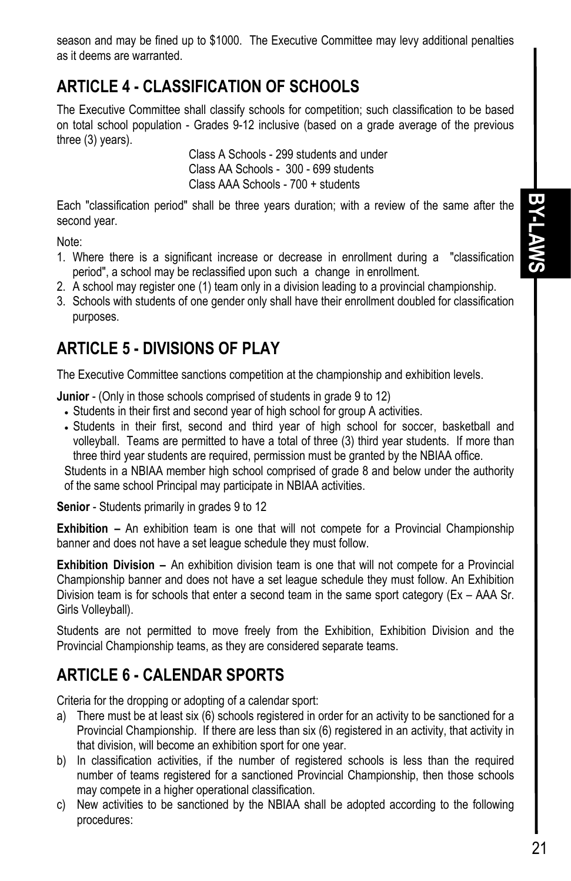**BY-LAWS BY-LAWS** 

# **ARTICLE 4 - CLASSIFICATION OF SCHOOLS**

The Executive Committee shall classify schools for competition; such classification to be based on total school population - Grades 9-12 inclusive (based on a grade average of the previous three (3) years).

 Class A Schools - 299 students and under Class AA Schools - 300 - 699 students Class AAA Schools - 700 + students

Each "classification period" shall be three years duration; with a review of the same after the second year.

Note:

- 1. Where there is a significant increase or decrease in enrollment during a "classification period", a school may be reclassified upon such a change in enrollment.
- 2. A school may register one (1) team only in a division leading to a provincial championship.
- 3. Schools with students of one gender only shall have their enrollment doubled for classification purposes.

# **ARTICLE 5 - DIVISIONS OF PLAY**

The Executive Committee sanctions competition at the championship and exhibition levels.

**Junior** - (Only in those schools comprised of students in grade 9 to 12)

- Students in their first and second year of high school for group A activities.
- Students in their first, second and third year of high school for soccer, basketball and volleyball. Teams are permitted to have a total of three (3) third year students. If more than three third year students are required, permission must be granted by the NBIAA office.

Students in a NBIAA member high school comprised of grade 8 and below under the authority of the same school Principal may participate in NBIAA activities.

**Senior** - Students primarily in grades 9 to 12

**Exhibition –** An exhibition team is one that will not compete for a Provincial Championship banner and does not have a set league schedule they must follow.

**Exhibition Division –** An exhibition division team is one that will not compete for a Provincial Championship banner and does not have a set league schedule they must follow. An Exhibition Division team is for schools that enter a second team in the same sport category (Ex – AAA Sr. Girls Volleyball).

Students are not permitted to move freely from the Exhibition, Exhibition Division and the Provincial Championship teams, as they are considered separate teams.

# **ARTICLE 6 - CALENDAR SPORTS**

Criteria for the dropping or adopting of a calendar sport:

- a) There must be at least six (6) schools registered in order for an activity to be sanctioned for a Provincial Championship. If there are less than six (6) registered in an activity, that activity in that division, will become an exhibition sport for one year.
- b) In classification activities, if the number of registered schools is less than the required number of teams registered for a sanctioned Provincial Championship, then those schools may compete in a higher operational classification.
- c) New activities to be sanctioned by the NBIAA shall be adopted according to the following procedures: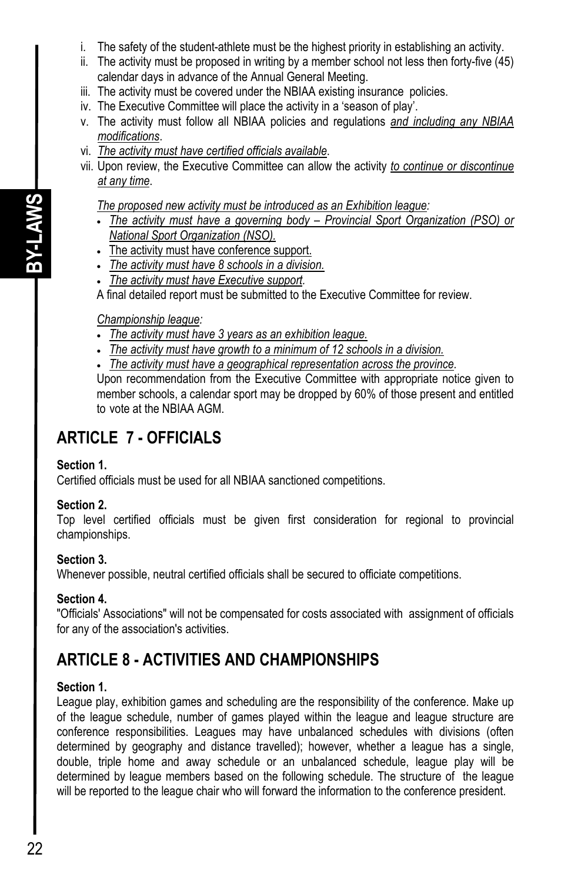- i. The safety of the student-athlete must be the highest priority in establishing an activity.
- ii. The activity must be proposed in writing by a member school not less then forty-five (45) calendar days in advance of the Annual General Meeting.
- iii. The activity must be covered under the NBIAA existing insurance policies.
- iv. The Executive Committee will place the activity in a 'season of play'.
- v. The activity must follow all NBIAA policies and regulations *and including any NBIAA modifications*.
- vi. *The activity must have certified officials available*.
- vii. Upon review, the Executive Committee can allow the activity *to continue or discontinue at any time*.

*The proposed new activity must be introduced as an Exhibition league:* 

- *The activity must have a governing body Provincial Sport Organization (PSO) or National Sport Organization (NSO).*
- The activity must have conference support.
- *The activity must have 8 schools in a division.*
- *The activity must have Executive support.*

A final detailed report must be submitted to the Executive Committee for review.

#### *Championship league:*

- *The activity must have 3 years as an exhibition league.*
- *The activity must have growth to a minimum of 12 schools in a division.*
- *The activity must have a geographical representation across the province.*

Upon recommendation from the Executive Committee with appropriate notice given to member schools, a calendar sport may be dropped by 60% of those present and entitled to vote at the NBIAA AGM.

## **ARTICLE 7 - OFFICIALS**

#### **Section 1.**

Certified officials must be used for all NBIAA sanctioned competitions.

#### **Section 2.**

Top level certified officials must be given first consideration for regional to provincial championships.

#### **Section 3.**

Whenever possible, neutral certified officials shall be secured to officiate competitions.

#### **Section 4.**

"Officials' Associations" will not be compensated for costs associated with assignment of officials for any of the association's activities.

# **ARTICLE 8 - ACTIVITIES AND CHAMPIONSHIPS**

## **Section 1.**

League play, exhibition games and scheduling are the responsibility of the conference. Make up of the league schedule, number of games played within the league and league structure are conference responsibilities. Leagues may have unbalanced schedules with divisions (often determined by geography and distance travelled); however, whether a league has a single, double, triple home and away schedule or an unbalanced schedule, league play will be determined by league members based on the following schedule. The structure of the league will be reported to the league chair who will forward the information to the conference president.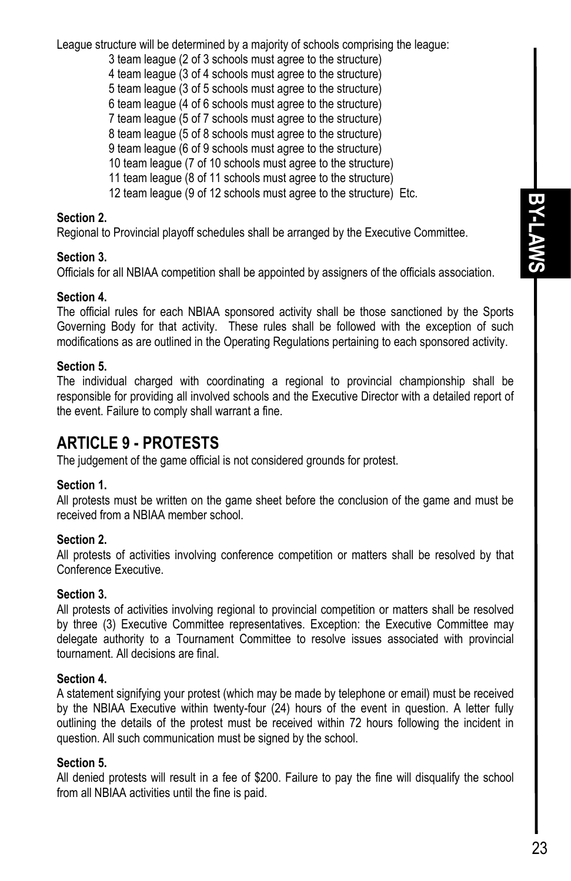**BY-LAWS BY-LAWS** 

League structure will be determined by a majority of schools comprising the league:

- 3 team league (2 of 3 schools must agree to the structure)
- 4 team league (3 of 4 schools must agree to the structure)
- 5 team league (3 of 5 schools must agree to the structure)
- 6 team league (4 of 6 schools must agree to the structure)
- 7 team league (5 of 7 schools must agree to the structure)
- 8 team league (5 of 8 schools must agree to the structure)
- 9 team league (6 of 9 schools must agree to the structure)
- 10 team league (7 of 10 schools must agree to the structure)
- 11 team league (8 of 11 schools must agree to the structure)
- 12 team league (9 of 12 schools must agree to the structure) Etc.

#### **Section 2.**

Regional to Provincial playoff schedules shall be arranged by the Executive Committee.

#### **Section 3.**

Officials for all NBIAA competition shall be appointed by assigners of the officials association.

#### **Section 4.**

The official rules for each NBIAA sponsored activity shall be those sanctioned by the Sports Governing Body for that activity. These rules shall be followed with the exception of such modifications as are outlined in the Operating Regulations pertaining to each sponsored activity.

#### **Section 5.**

The individual charged with coordinating a regional to provincial championship shall be responsible for providing all involved schools and the Executive Director with a detailed report of the event. Failure to comply shall warrant a fine.

## **ARTICLE 9 - PROTESTS**

The judgement of the game official is not considered grounds for protest.

#### **Section 1.**

All protests must be written on the game sheet before the conclusion of the game and must be received from a NBIAA member school.

#### **Section 2.**

All protests of activities involving conference competition or matters shall be resolved by that Conference Executive.

#### **Section 3.**

All protests of activities involving regional to provincial competition or matters shall be resolved by three (3) Executive Committee representatives. Exception: the Executive Committee may delegate authority to a Tournament Committee to resolve issues associated with provincial tournament. All decisions are final.

#### **Section 4.**

A statement signifying your protest (which may be made by telephone or email) must be received by the NBIAA Executive within twenty-four (24) hours of the event in question. A letter fully outlining the details of the protest must be received within 72 hours following the incident in question. All such communication must be signed by the school.

#### **Section 5.**

All denied protests will result in a fee of \$200. Failure to pay the fine will disqualify the school from all NBIAA activities until the fine is paid.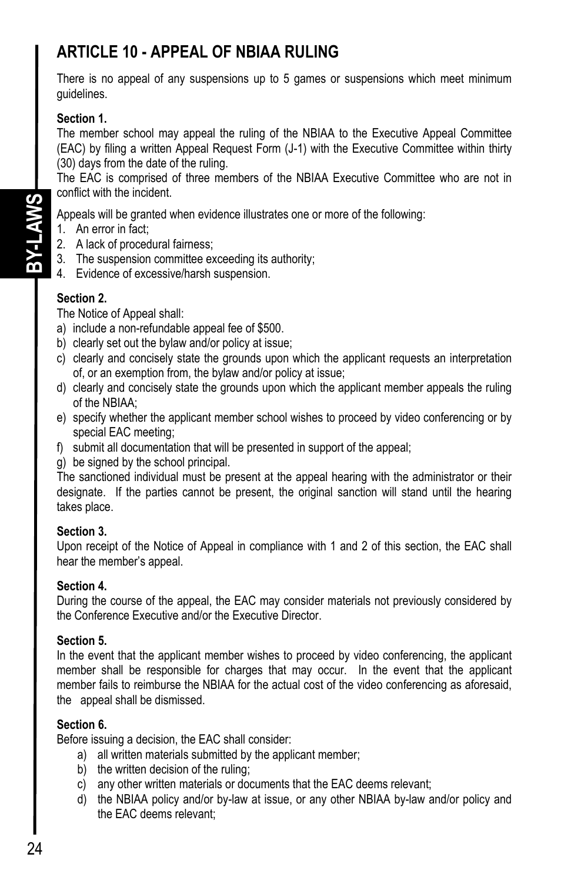# **ARTICLE 10 - APPEAL OF NBIAA RULING**

There is no appeal of any suspensions up to 5 games or suspensions which meet minimum guidelines.

### **Section 1.**

The member school may appeal the ruling of the NBIAA to the Executive Appeal Committee (EAC) by filing a written Appeal Request Form (J-1) with the Executive Committee within thirty (30) days from the date of the ruling.

The EAC is comprised of three members of the NBIAA Executive Committee who are not in conflict with the incident.

Appeals will be granted when evidence illustrates one or more of the following:

- 1. An error in fact;
- 2. A lack of procedural fairness;
- 3. The suspension committee exceeding its authority;
- 4. Evidence of excessive/harsh suspension.

#### **Section 2.**

The Notice of Appeal shall:

- a) include a non-refundable appeal fee of \$500.
- b) clearly set out the bylaw and/or policy at issue;
- c) clearly and concisely state the grounds upon which the applicant requests an interpretation of, or an exemption from, the bylaw and/or policy at issue;
- d) clearly and concisely state the grounds upon which the applicant member appeals the ruling of the NBIAA;
- e) specify whether the applicant member school wishes to proceed by video conferencing or by special EAC meeting;
- f) submit all documentation that will be presented in support of the appeal;
- g) be signed by the school principal.

The sanctioned individual must be present at the appeal hearing with the administrator or their designate. If the parties cannot be present, the original sanction will stand until the hearing takes place.

#### **Section 3.**

Upon receipt of the Notice of Appeal in compliance with 1 and 2 of this section, the EAC shall hear the member's appeal.

#### **Section 4.**

During the course of the appeal, the EAC may consider materials not previously considered by the Conference Executive and/or the Executive Director.

#### **Section 5.**

In the event that the applicant member wishes to proceed by video conferencing, the applicant member shall be responsible for charges that may occur. In the event that the applicant member fails to reimburse the NBIAA for the actual cost of the video conferencing as aforesaid, the appeal shall be dismissed.

#### **Section 6.**

Before issuing a decision, the EAC shall consider:

- a) all written materials submitted by the applicant member;
- b) the written decision of the ruling;
- c) any other written materials or documents that the EAC deems relevant;
- d) the NBIAA policy and/or by-law at issue, or any other NBIAA by-law and/or policy and the EAC deems relevant;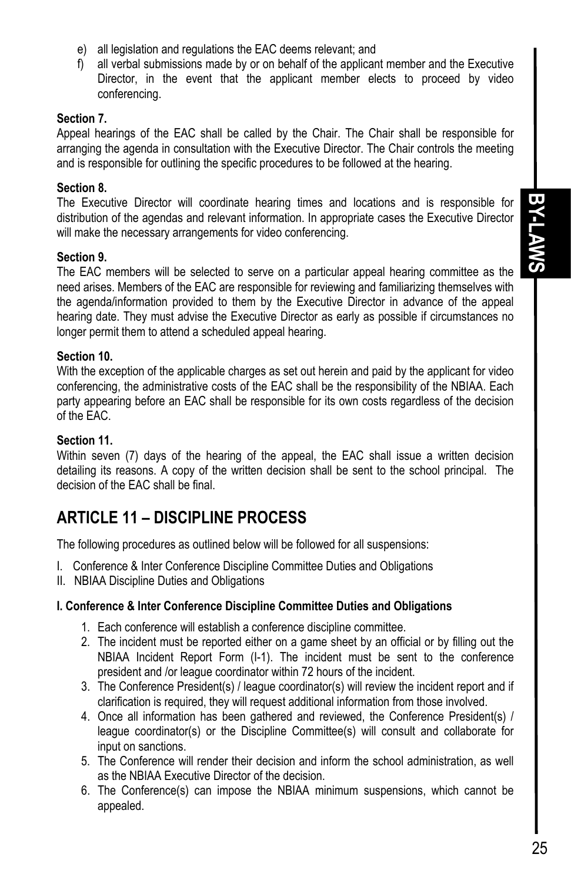- e) all legislation and regulations the EAC deems relevant; and
- f) all verbal submissions made by or on behalf of the applicant member and the Executive Director, in the event that the applicant member elects to proceed by video conferencing.

#### **Section 7.**

Appeal hearings of the EAC shall be called by the Chair. The Chair shall be responsible for arranging the agenda in consultation with the Executive Director. The Chair controls the meeting and is responsible for outlining the specific procedures to be followed at the hearing.

#### **Section 8.**

The Executive Director will coordinate hearing times and locations and is responsible for distribution of the agendas and relevant information. In appropriate cases the Executive Director will make the necessary arrangements for video conferencing.

#### **Section 9.**

The EAC members will be selected to serve on a particular appeal hearing committee as the need arises. Members of the EAC are responsible for reviewing and familiarizing themselves with the agenda/information provided to them by the Executive Director in advance of the appeal hearing date. They must advise the Executive Director as early as possible if circumstances no longer permit them to attend a scheduled appeal hearing.

#### **Section 10.**

With the exception of the applicable charges as set out herein and paid by the applicant for video conferencing, the administrative costs of the EAC shall be the responsibility of the NBIAA. Each party appearing before an EAC shall be responsible for its own costs regardless of the decision of the EAC.

#### **Section 11.**

Within seven (7) days of the hearing of the appeal, the EAC shall issue a written decision detailing its reasons. A copy of the written decision shall be sent to the school principal. The decision of the EAC shall be final.

## **ARTICLE 11 – DISCIPLINE PROCESS**

The following procedures as outlined below will be followed for all suspensions:

- I. Conference & Inter Conference Discipline Committee Duties and Obligations
- II. NBIAA Discipline Duties and Obligations

#### **I. Conference & Inter Conference Discipline Committee Duties and Obligations**

- 1. Each conference will establish a conference discipline committee.
- 2. The incident must be reported either on a game sheet by an official or by filling out the NBIAA Incident Report Form (I-1). The incident must be sent to the conference president and /or league coordinator within 72 hours of the incident.
- 3. The Conference President(s) / league coordinator(s) will review the incident report and if clarification is required, they will request additional information from those involved.
- 4. Once all information has been gathered and reviewed, the Conference President(s) / league coordinator(s) or the Discipline Committee(s) will consult and collaborate for input on sanctions.
- 5. The Conference will render their decision and inform the school administration, as well as the NBIAA Executive Director of the decision.
- 6. The Conference(s) can impose the NBIAA minimum suspensions, which cannot be appealed.